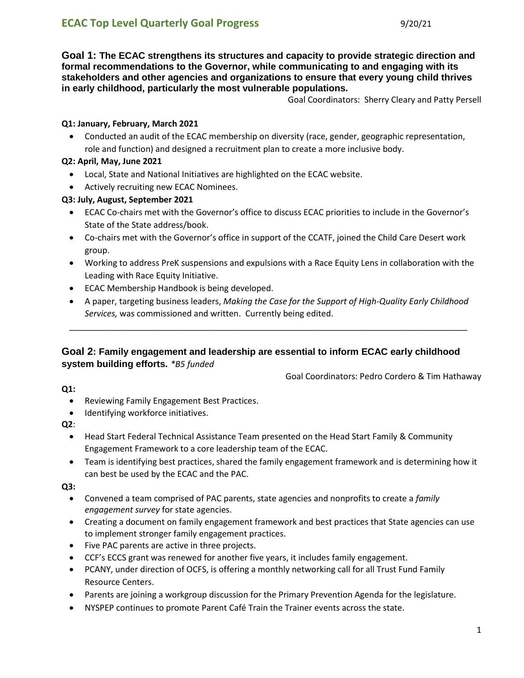**Goal 1: The ECAC strengthens its structures and capacity to provide strategic direction and formal recommendations to the Governor, while communicating to and engaging with its stakeholders and other agencies and organizations to ensure that every young child thrives in early childhood, particularly the most vulnerable populations.**

Goal Coordinators: Sherry Cleary and Patty Persell

#### **Q1: January, February, March 2021**

 Conducted an audit of the ECAC membership on diversity (race, gender, geographic representation, role and function) and designed a recruitment plan to create a more inclusive body.

# **Q2: April, May, June 2021**

- Local, State and National Initiatives are highlighted on the ECAC website.
- Actively recruiting new ECAC Nominees.

## **Q3: July, August, September 2021**

- ECAC Co-chairs met with the Governor's office to discuss ECAC priorities to include in the Governor's State of the State address/book.
- Co-chairs met with the Governor's office in support of the CCATF, joined the Child Care Desert work group.
- Working to address PreK suspensions and expulsions with a Race Equity Lens in collaboration with the Leading with Race Equity Initiative.
- **•** ECAC Membership Handbook is being developed.
- A paper, targeting business leaders, *Making the Case for the Support of High-Quality Early Childhood Services,* was commissioned and written. Currently being edited.

\_\_\_\_\_\_\_\_\_\_\_\_\_\_\_\_\_\_\_\_\_\_\_\_\_\_\_\_\_\_\_\_\_\_\_\_\_\_\_\_\_\_\_\_\_\_\_\_\_\_\_\_\_\_\_\_\_\_\_\_\_\_\_\_\_\_\_\_\_\_\_\_\_\_\_\_\_\_\_\_\_\_\_\_\_

# **Goal 2: Family engagement and leadership are essential to inform ECAC early childhood system building efforts.** *\*B5 funded*

Goal Coordinators: Pedro Cordero & Tim Hathaway

#### **Q1:**

- Reviewing Family Engagement Best Practices.
- Identifying workforce initiatives.

#### **Q2**:

- Head Start Federal Technical Assistance Team presented on the Head Start Family & Community Engagement Framework to a core leadership team of the ECAC.
- Team is identifying best practices, shared the family engagement framework and is determining how it can best be used by the ECAC and the PAC.

- Convened a team comprised of PAC parents, state agencies and nonprofits to create a *family engagement survey* for state agencies.
- Creating a document on family engagement framework and best practices that State agencies can use to implement stronger family engagement practices.
- Five PAC parents are active in three projects.
- CCF's ECCS grant was renewed for another five years, it includes family engagement.
- PCANY, under direction of OCFS, is offering a monthly networking call for all Trust Fund Family Resource Centers.
- Parents are joining a workgroup discussion for the Primary Prevention Agenda for the legislature.
- NYSPEP continues to promote Parent Café Train the Trainer events across the state.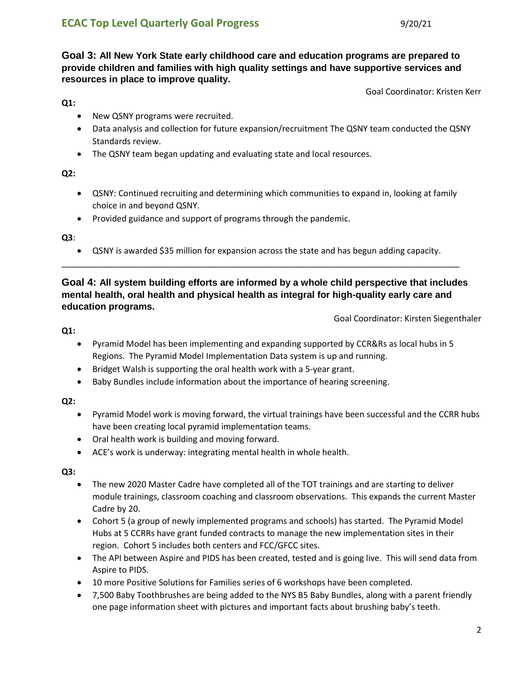**Goal 3: All New York State early childhood care and education programs are prepared to provide children and families with high quality settings and have supportive services and resources in place to improve quality.**

Goal Coordinator: Kristen Kerr

**Q1:**

- New QSNY programs were recruited.
- Data analysis and collection for future expansion/recruitment The QSNY team conducted the QSNY Standards review.
- The QSNY team began updating and evaluating state and local resources.

**Q2:**

- QSNY: Continued recruiting and determining which communities to expand in, looking at family choice in and beyond QSNY.
- Provided guidance and support of programs through the pandemic.

**Q3**:

 QSNY is awarded \$35 million for expansion across the state and has begun adding capacity. \_\_\_\_\_\_\_\_\_\_\_\_\_\_\_\_\_\_\_\_\_\_\_\_\_\_\_\_\_\_\_\_\_\_\_\_\_\_\_\_\_\_\_\_\_\_\_\_\_\_\_\_\_\_\_\_\_\_\_\_\_\_\_\_\_\_\_\_\_\_\_\_\_\_\_\_\_\_\_\_\_\_\_\_\_

# **Goal 4: All system building efforts are informed by a whole child perspective that includes mental health, oral health and physical health as integral for high-quality early care and education programs.**

Goal Coordinator: Kirsten Siegenthaler

**Q1:**

- Pyramid Model has been implementing and expanding supported by CCR&Rs as local hubs in 5 Regions. The Pyramid Model Implementation Data system is up and running.
- Bridget Walsh is supporting the oral health work with a 5-year grant.
- Baby Bundles include information about the importance of hearing screening.

**Q2:**

- Pyramid Model work is moving forward, the virtual trainings have been successful and the CCRR hubs have been creating local pyramid implementation teams.
- Oral health work is building and moving forward.
- ACE's work is underway: integrating mental health in whole health.

- The new 2020 Master Cadre have completed all of the TOT trainings and are starting to deliver module trainings, classroom coaching and classroom observations. This expands the current Master Cadre by 20.
- Cohort 5 (a group of newly implemented programs and schools) has started. The Pyramid Model Hubs at 5 CCRRs have grant funded contracts to manage the new implementation sites in their region. Cohort 5 includes both centers and FCC/GFCC sites.
- The API between Aspire and PIDS has been created, tested and is going live. This will send data from Aspire to PIDS.
- 10 more Positive Solutions for Families series of 6 workshops have been completed.
- 7,500 Baby Toothbrushes are being added to the NYS B5 Baby Bundles, along with a parent friendly one page information sheet with pictures and important facts about brushing baby's teeth.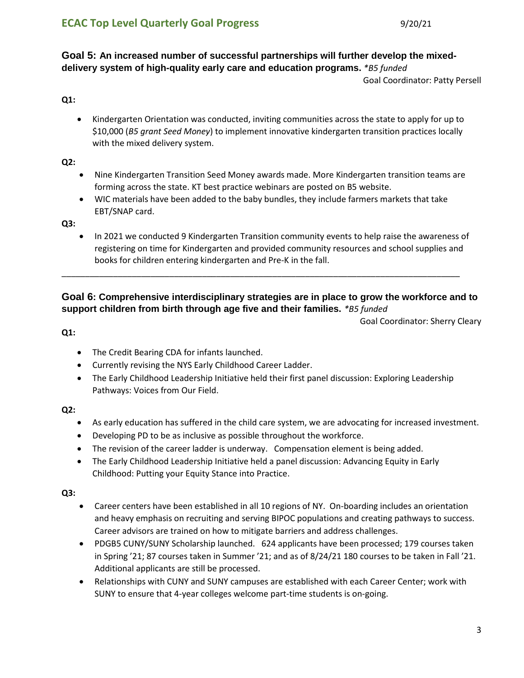# **Goal 5: An increased number of successful partnerships will further develop the mixeddelivery system of high-quality early care and education programs.** *\*B5 funded*

Goal Coordinator: Patty Persell

## **Q1:**

 Kindergarten Orientation was conducted, inviting communities across the state to apply for up to \$10,000 (*B5 grant Seed Money*) to implement innovative kindergarten transition practices locally with the mixed delivery system.

#### **Q2:**

- Nine Kindergarten Transition Seed Money awards made. More Kindergarten transition teams are forming across the state. KT best practice webinars are posted on B5 website.
- WIC materials have been added to the baby bundles, they include farmers markets that take EBT/SNAP card.

\_\_\_\_\_\_\_\_\_\_\_\_\_\_\_\_\_\_\_\_\_\_\_\_\_\_\_\_\_\_\_\_\_\_\_\_\_\_\_\_\_\_\_\_\_\_\_\_\_\_\_\_\_\_\_\_\_\_\_\_\_\_\_\_\_\_\_\_\_\_\_\_\_\_\_\_\_\_\_\_\_\_\_\_\_

#### **Q3:**

• In 2021 we conducted 9 Kindergarten Transition community events to help raise the awareness of registering on time for Kindergarten and provided community resources and school supplies and books for children entering kindergarten and Pre-K in the fall.

# **Goal 6: Comprehensive interdisciplinary strategies are in place to grow the workforce and to support children from birth through age five and their families.** *\*B5 funded*

Goal Coordinator: Sherry Cleary

#### **Q1:**

- The Credit Bearing CDA for infants launched.
- Currently revising the NYS Early Childhood Career Ladder.
- The Early Childhood Leadership Initiative held their first panel discussion: Exploring Leadership Pathways: Voices from Our Field.

#### **Q2:**

- As early education has suffered in the child care system, we are advocating for increased investment.
- Developing PD to be as inclusive as possible throughout the workforce.
- The revision of the career ladder is underway. Compensation element is being added.
- The Early Childhood Leadership Initiative held a panel discussion: Advancing Equity in Early Childhood: Putting your Equity Stance into Practice.

- Career centers have been established in all 10 regions of NY. On-boarding includes an orientation and heavy emphasis on recruiting and serving BIPOC populations and creating pathways to success. Career advisors are trained on how to mitigate barriers and address challenges.
- PDGB5 CUNY/SUNY Scholarship launched. 624 applicants have been processed; 179 courses taken in Spring '21; 87 courses taken in Summer '21; and as of 8/24/21 180 courses to be taken in Fall '21. Additional applicants are still be processed.
- Relationships with CUNY and SUNY campuses are established with each Career Center; work with SUNY to ensure that 4-year colleges welcome part-time students is on-going.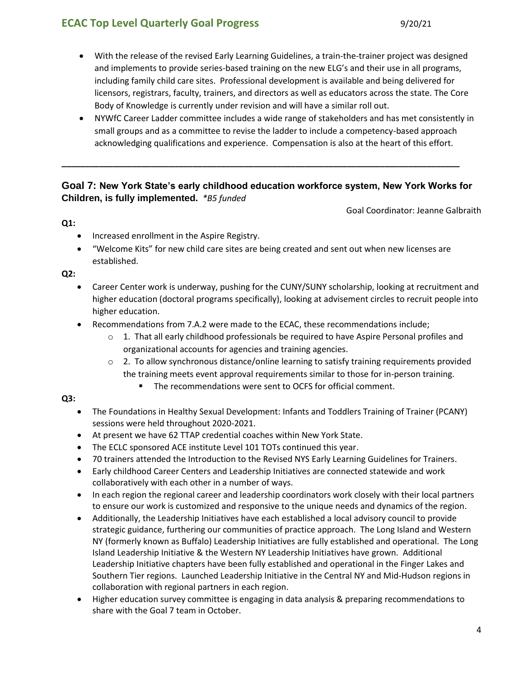# **ECAC Top Level Quarterly Goal Progress** 6 1 20/21

- With the release of the revised Early Learning Guidelines, a train-the-trainer project was designed and implements to provide series-based training on the new ELG's and their use in all programs, including family child care sites. Professional development is available and being delivered for licensors, registrars, faculty, trainers, and directors as well as educators across the state. The Core Body of Knowledge is currently under revision and will have a similar roll out.
- NYWfC Career Ladder committee includes a wide range of stakeholders and has met consistently in small groups and as a committee to revise the ladder to include a competency-based approach acknowledging qualifications and experience. Compensation is also at the heart of this effort.

# **Goal 7: New York State's early childhood education workforce system, New York Works for Children, is fully implemented.** *\*B5 funded*

**\_\_\_\_\_\_\_\_\_\_\_\_\_\_\_\_\_\_\_\_\_\_\_\_\_\_\_\_\_\_\_\_\_\_\_\_\_\_\_\_\_\_\_\_\_\_\_\_\_\_\_\_\_\_\_\_\_\_\_\_\_\_\_\_\_\_\_\_\_\_\_\_\_\_\_\_\_\_\_\_\_\_\_\_\_**

Goal Coordinator: Jeanne Galbraith

#### **Q1:**

- Increased enrollment in the Aspire Registry.
- "Welcome Kits" for new child care sites are being created and sent out when new licenses are established.

#### **Q2:**

- Career Center work is underway, pushing for the CUNY/SUNY scholarship, looking at recruitment and higher education (doctoral programs specifically), looking at advisement circles to recruit people into higher education.
- Recommendations from 7.A.2 were made to the ECAC, these recommendations include;
	- $\circ$  1. That all early childhood professionals be required to have Aspire Personal profiles and organizational accounts for agencies and training agencies.
	- $\circ$  2. To allow synchronous distance/online learning to satisfy training requirements provided the training meets event approval requirements similar to those for in-person training.
		- The recommendations were sent to OCFS for official comment.

- The Foundations in Healthy Sexual Development: Infants and Toddlers Training of Trainer (PCANY) sessions were held throughout 2020-2021.
- At present we have 62 TTAP credential coaches within New York State.
- The ECLC sponsored ACE institute Level 101 TOTs continued this year.
- 70 trainers attended the Introduction to the Revised NYS Early Learning Guidelines for Trainers.
- Early childhood Career Centers and Leadership Initiatives are connected statewide and work collaboratively with each other in a number of ways.
- In each region the regional career and leadership coordinators work closely with their local partners to ensure our work is customized and responsive to the unique needs and dynamics of the region.
- Additionally, the Leadership Initiatives have each established a local advisory council to provide strategic guidance, furthering our communities of practice approach.The Long Island and Western NY (formerly known as Buffalo) Leadership Initiatives are fully established and operational. The Long Island Leadership Initiative & the Western NY Leadership Initiatives have grown. Additional Leadership Initiative chapters have been fully established and operational in the Finger Lakes and Southern Tier regions. Launched Leadership Initiative in the Central NY and Mid-Hudson regions in collaboration with regional partners in each region.
- Higher education survey committee is engaging in data analysis & preparing recommendations to share with the Goal 7 team in October.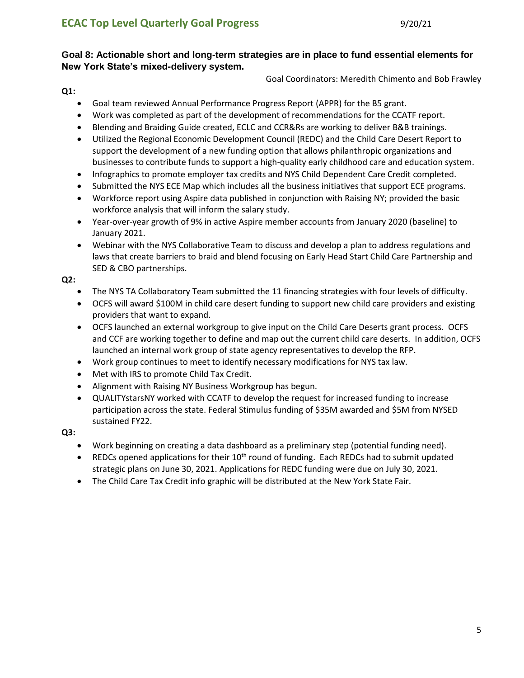# **Goal 8: Actionable short and long-term strategies are in place to fund essential elements for New York State's mixed-delivery system.**

Goal Coordinators: Meredith Chimento and Bob Frawley

#### **Q1:**

- Goal team reviewed Annual Performance Progress Report (APPR) for the B5 grant.
- Work was completed as part of the development of recommendations for the CCATF report.
- Blending and Braiding Guide created, ECLC and CCR&Rs are working to deliver B&B trainings.
- Utilized the Regional Economic Development Council (REDC) and the Child Care Desert Report to support the development of a new funding option that allows philanthropic organizations and businesses to contribute funds to support a high-quality early childhood care and education system.
- **Infographics to promote employer tax credits and NYS Child Dependent Care Credit completed.**
- Submitted the NYS ECE Map which includes all the business initiatives that support ECE programs.
- Workforce report using Aspire data published in conjunction with Raising NY; provided the basic workforce analysis that will inform the salary study.
- Year-over-year growth of 9% in active Aspire member accounts from January 2020 (baseline) to January 2021.
- Webinar with the NYS Collaborative Team to discuss and develop a plan to address regulations and laws that create barriers to braid and blend focusing on Early Head Start Child Care Partnership and SED & CBO partnerships.

#### **Q2:**

- The NYS TA Collaboratory Team submitted the 11 financing strategies with four levels of difficulty.
- OCFS will award \$100M in child care desert funding to support new child care providers and existing providers that want to expand.
- OCFS launched an external workgroup to give input on the Child Care Deserts grant process. OCFS and CCF are working together to define and map out the current child care deserts. In addition, OCFS launched an internal work group of state agency representatives to develop the RFP.
- Work group continues to meet to identify necessary modifications for NYS tax law.
- Met with IRS to promote Child Tax Credit.
- Alignment with Raising NY Business Workgroup has begun.
- QUALITYstarsNY worked with CCATF to develop the request for increased funding to increase participation across the state. Federal Stimulus funding of \$35M awarded and \$5M from NYSED sustained FY22.

- Work beginning on creating a data dashboard as a preliminary step (potential funding need).
- **•** REDCs opened applications for their  $10<sup>th</sup>$  round of funding. Each REDCs had to submit updated strategic plans on June 30, 2021. Applications for REDC funding were due on July 30, 2021.
- The Child Care Tax Credit info graphic will be distributed at the New York State Fair.